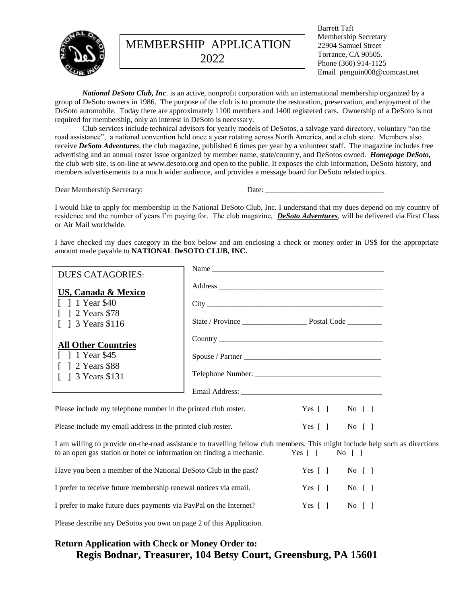

MEMBERSHIP APPLICATION 2022

Barrett Taft Membership Secretary 22904 Samuel Street Torrance, CA 90505. Phone (360) 914-1125 Email penguin008@comcast.net

*National DeSoto Club, Inc*. is an active, nonprofit corporation with an international membership organized by a group of DeSoto owners in 1986. The purpose of the club is to promote the restoration, preservation, and enjoyment of the DeSoto automobile. Today there are approximately 1100 members and 1400 registered cars. Ownership of a DeSoto is not required for membership, only an interest in DeSoto is necessary.

Club services include technical advisors for yearly models of DeSotos, a salvage yard directory, voluntary "on the road assistance", a national convention held once a year rotating across North America, and a club store. Members also receive *DeSoto Adventures*, the club magazine, published 6 times per year by a volunteer staff. The magazine includes free advertising and an annual roster issue organized by member name, state/country, and DeSotos owned. *Homepage DeSoto,* the club web site, is on-line at [www.desoto.org](http://www.desoto.org/) and open to the public. It exposes the club information, DeSoto history, and members advertisements to a much wider audience, and provides a message board for DeSoto related topics.

Dear Membership Secretary: Date: \_\_\_\_\_\_\_\_\_\_\_\_\_\_\_\_\_\_\_\_\_\_\_\_\_\_\_\_\_\_\_

I would like to apply for membership in the National DeSoto Club, Inc. I understand that my dues depend on my country of residence and the number of years I'm paying for. The club magazine, *DeSoto Adventures*, will be delivered via First Class or Air Mail worldwide.

I have checked my dues category in the box below and am enclosing a check or money order in US\$ for the appropriate amount made payable to **NATIONAL DeSOTO CLUB, INC.**

| <b>DUES CATAGORIES:</b>                                                                                                                                                                                            |  |                                                                                      |  |  |
|--------------------------------------------------------------------------------------------------------------------------------------------------------------------------------------------------------------------|--|--------------------------------------------------------------------------------------|--|--|
| <b>US, Canada &amp; Mexico</b>                                                                                                                                                                                     |  |                                                                                      |  |  |
| [ ] 1 Year \$40                                                                                                                                                                                                    |  |                                                                                      |  |  |
| [ ] 2 Years \$78<br>$\lceil$ 1 3 Years \$116                                                                                                                                                                       |  |                                                                                      |  |  |
| <b>All Other Countries</b>                                                                                                                                                                                         |  |                                                                                      |  |  |
| $1 \times 1$ Year \$45                                                                                                                                                                                             |  |                                                                                      |  |  |
| [ ] 2 Years \$88<br>$\lceil$ 1 3 Years \$131                                                                                                                                                                       |  |                                                                                      |  |  |
|                                                                                                                                                                                                                    |  |                                                                                      |  |  |
| Please include my telephone number in the printed club roster.                                                                                                                                                     |  | Yes $[ ]$ No $[ ]$                                                                   |  |  |
| Please include my email address in the printed club roster.                                                                                                                                                        |  | Yes $\begin{bmatrix} 1 \\ 0 \end{bmatrix}$ No $\begin{bmatrix} 1 \\ 0 \end{bmatrix}$ |  |  |
| I am willing to provide on-the-road assistance to travelling fellow club members. This might include help such as directions<br>to an open gas station or hotel or information on finding a mechanic. Yes [] No [] |  |                                                                                      |  |  |
| Have you been a member of the National DeSoto Club in the past? $\angle$ Yes [ 1 No [ 1]                                                                                                                           |  |                                                                                      |  |  |

| I prefer to receive future membership renewal notices via email.  | $Yes \lceil \rceil$ No $\lceil \rceil$ |  |
|-------------------------------------------------------------------|----------------------------------------|--|
| I prefer to make future dues payments via PayPal on the Internet? | Yes [ ] No [ ]                         |  |

Please describe any DeSotos you own on page 2 of this Application.

## **Return Application with Check or Money Order to:** **Regis Bodnar, Treasurer, 104 Betsy Court, Greensburg, PA 15601**